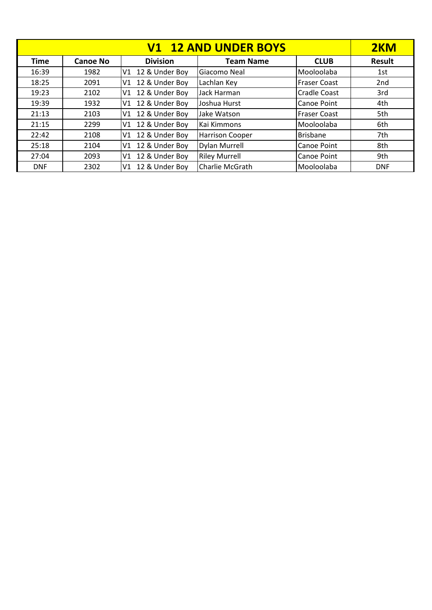|             | 2KM             |                      |                        |                     |            |
|-------------|-----------------|----------------------|------------------------|---------------------|------------|
| <b>Time</b> | <b>Canoe No</b> | <b>Division</b>      | <b>Team Name</b>       | <b>CLUB</b>         | Result     |
| 16:39       | 1982            | 12 & Under Boy<br>V1 | Giacomo Neal           | Mooloolaba          | 1st        |
| 18:25       | 2091            | 12 & Under Boy<br>V1 | Lachlan Key            | <b>Fraser Coast</b> | 2nd        |
| 19:23       | 2102            | V1 12 & Under Boy    | Jack Harman            | <b>Cradle Coast</b> | 3rd        |
| 19:39       | 1932            | 12 & Under Boy<br>V1 | Joshua Hurst           | <b>Canoe Point</b>  | 4th        |
| 21:13       | 2103            | 12 & Under Boy<br>V1 | Jake Watson            | <b>Fraser Coast</b> | 5th        |
| 21:15       | 2299            | 12 & Under Boy<br>V1 | Kai Kimmons            | Mooloolaba          | 6th        |
| 22:42       | 2108            | 12 & Under Boy<br>V1 | <b>Harrison Cooper</b> | <b>Brisbane</b>     | 7th        |
| 25:18       | 2104            | 12 & Under Boy<br>V1 | <b>Dylan Murrell</b>   | <b>Canoe Point</b>  | 8th        |
| 27:04       | 2093            | 12 & Under Boy<br>V1 | <b>Riley Murrell</b>   | <b>Canoe Point</b>  | 9th        |
| <b>DNF</b>  | 2302            | 12 & Under Boy<br>V1 | Charlie McGrath        | Mooloolaba          | <b>DNF</b> |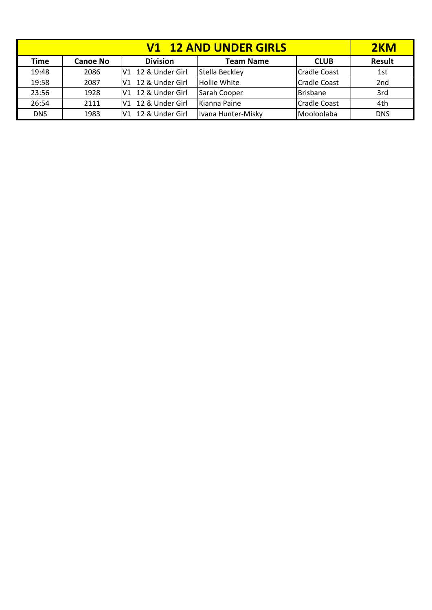| <b>V1 12 AND UNDER GIRLS</b> |                                                                       |                       |                     |                     |                 |  |
|------------------------------|-----------------------------------------------------------------------|-----------------------|---------------------|---------------------|-----------------|--|
| Time                         | <b>Division</b><br><b>Team Name</b><br><b>CLUB</b><br><b>Canoe No</b> |                       |                     |                     |                 |  |
| 19:48                        | 2086                                                                  | V1 12 & Under Girl    | Stella Beckley      | <b>Cradle Coast</b> | 1st             |  |
| 19:58                        | 2087                                                                  | V1 12 & Under Girl    | <b>Hollie White</b> | <b>Cradle Coast</b> | 2 <sub>nd</sub> |  |
| 23:56                        | 1928                                                                  | 12 & Under Girl<br>V1 | Sarah Cooper        | <b>Brisbane</b>     | 3rd             |  |
| 26:54                        | 2111                                                                  | 12 & Under Girl<br>V1 | Kianna Paine        | <b>Cradle Coast</b> | 4th             |  |
| <b>DNS</b>                   | 1983                                                                  | 12 & Under Girl<br>V1 | Ivana Hunter-Misky  | Mooloolaba          | <b>DNS</b>      |  |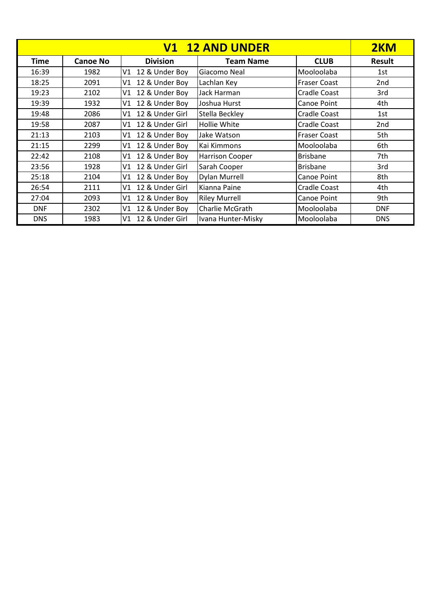|             | 2KM             |                         |                        |                     |                 |
|-------------|-----------------|-------------------------|------------------------|---------------------|-----------------|
| <b>Time</b> | <b>Canoe No</b> | <b>Division</b>         | <b>Team Name</b>       | <b>CLUB</b>         | <b>Result</b>   |
| 16:39       | 1982            | 12 & Under Boy<br>V1    | Giacomo Neal           | Mooloolaba          | 1st             |
| 18:25       | 2091            | 12 & Under Boy<br>V1    | Lachlan Key            | Fraser Coast        | 2 <sub>nd</sub> |
| 19:23       | 2102            | 12 & Under Boy<br>V1    | Jack Harman            | <b>Cradle Coast</b> | 3rd             |
| 19:39       | 1932            | 12 & Under Boy<br>۷1    | Joshua Hurst           | Canoe Point         | 4th             |
| 19:48       | 2086            | 12 & Under Girl<br>V1   | Stella Beckley         | <b>Cradle Coast</b> | 1st             |
| 19:58       | 2087            | 12 & Under Girl<br>V1 I | Hollie White           | <b>Cradle Coast</b> | 2 <sub>nd</sub> |
| 21:13       | 2103            | 12 & Under Boy<br>V1    | Jake Watson            | <b>Fraser Coast</b> | 5th             |
| 21:15       | 2299            | 12 & Under Boy<br>V1    | Kai Kimmons            | Mooloolaba          | 6th             |
| 22:42       | 2108            | 12 & Under Boy<br>V1    | <b>Harrison Cooper</b> | <b>Brisbane</b>     | 7th             |
| 23:56       | 1928            | 12 & Under Girl<br>V1   | Sarah Cooper           | <b>Brisbane</b>     | 3rd             |
| 25:18       | 2104            | 12 & Under Boy<br>V1    | Dylan Murrell          | Canoe Point         | 8th             |
| 26:54       | 2111            | 12 & Under Girl<br>V1   | Kianna Paine           | <b>Cradle Coast</b> | 4th             |
| 27:04       | 2093            | 12 & Under Boy<br>V1    | <b>Riley Murrell</b>   | <b>Canoe Point</b>  | 9th             |
| <b>DNF</b>  | 2302            | 12 & Under Boy<br>V1    | Charlie McGrath        | Mooloolaba          | <b>DNF</b>      |
| <b>DNS</b>  | 1983            | 12 & Under Girl<br>V1   | Ivana Hunter-Misky     | Mooloolaba          | <b>DNS</b>      |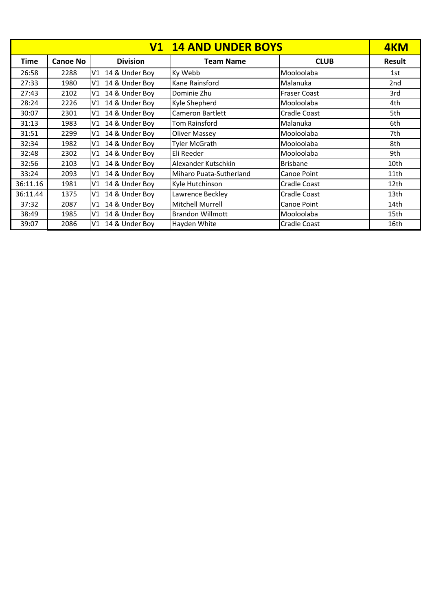| <b>V1 14 AND UNDER BOYS</b> |                 |                      |                         |                     |                  |
|-----------------------------|-----------------|----------------------|-------------------------|---------------------|------------------|
| <b>Time</b>                 | <b>Canoe No</b> | <b>Division</b>      | <b>Team Name</b>        | <b>CLUB</b>         | <b>Result</b>    |
| 26:58                       | 2288            | V1 14 & Under Boy    | Ky Webb                 | Mooloolaba          | 1st              |
| 27:33                       | 1980            | 14 & Under Boy<br>V1 | Kane Rainsford          | Malanuka            | 2 <sub>nd</sub>  |
| 27:43                       | 2102            | V1 14 & Under Boy    | Dominie Zhu             | <b>Fraser Coast</b> | 3rd              |
| 28:24                       | 2226            | 14 & Under Boy<br>V1 | Kyle Shepherd           | Mooloolaba          | 4th              |
| 30:07                       | 2301            | 14 & Under Boy<br>V1 | Cameron Bartlett        | <b>Cradle Coast</b> | 5th              |
| 31:13                       | 1983            | 14 & Under Boy<br>V1 | Tom Rainsford           | Malanuka            | 6th              |
| 31:51                       | 2299            | 14 & Under Boy<br>V1 | <b>Oliver Massey</b>    | Mooloolaba          | 7th              |
| 32:34                       | 1982            | 14 & Under Boy<br>V1 | <b>Tyler McGrath</b>    | Mooloolaba          | 8th              |
| 32:48                       | 2302            | 14 & Under Boy<br>V1 | Eli Reeder              | Mooloolaba          | 9th              |
| 32:56                       | 2103            | V1 14 & Under Boy    | Alexander Kutschkin     | <b>Brisbane</b>     | 10th             |
| 33:24                       | 2093            | 14 & Under Boy<br>V1 | Miharo Puata-Sutherland | Canoe Point         | 11th             |
| 36:11.16                    | 1981            | V1 14 & Under Boy    | Kyle Hutchinson         | Cradle Coast        | 12 <sub>th</sub> |
| 36:11.44                    | 1375            | V1 14 & Under Boy    | Lawrence Beckley        | Cradle Coast        | 13th             |
| 37:32                       | 2087            | V1 14 & Under Boy    | Mitchell Murrell        | Canoe Point         | 14th             |
| 38:49                       | 1985            | 14 & Under Boy<br>V1 | <b>Brandon Willmott</b> | Mooloolaba          | 15th             |
| 39:07                       | 2086            | 14 & Under Boy<br>V1 | Hayden White            | Cradle Coast        | 16th             |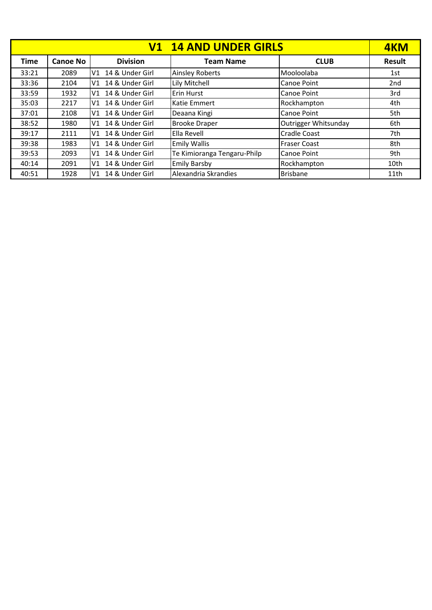| <b>V1 14 AND UNDER GIRLS</b> |                 |                                   |                             |                      |               |  |
|------------------------------|-----------------|-----------------------------------|-----------------------------|----------------------|---------------|--|
| <b>Time</b>                  | <b>Canoe No</b> | <b>Division</b>                   | <b>Team Name</b>            | <b>CLUB</b>          | <b>Result</b> |  |
| 33:21                        | 2089            | 14 & Under Girl<br>V1             | <b>Ainsley Roberts</b>      | Mooloolaba           | 1st           |  |
| 33:36                        | 2104            | 14 & Under Girl<br>V <sub>1</sub> | Lily Mitchell               | Canoe Point          | 2nd           |  |
| 33:59                        | 1932            | 14 & Under Girl<br>V1             | Erin Hurst                  | Canoe Point          | 3rd           |  |
| 35:03                        | 2217            | 14 & Under Girl<br>V1             | <b>Katie Emmert</b>         | Rockhampton          | 4th           |  |
| 37:01                        | 2108            | 14 & Under Girl<br>V1             | Deaana Kingi                | Canoe Point          | 5th           |  |
| 38:52                        | 1980            | V1 14 & Under Girl                | <b>Brooke Draper</b>        | Outrigger Whitsunday | 6th           |  |
| 39:17                        | 2111            | V1 14 & Under Girl                | Ella Revell                 | <b>Cradle Coast</b>  | 7th           |  |
| 39:38                        | 1983            | 14 & Under Girl<br>V <sub>1</sub> | <b>Emily Wallis</b>         | <b>Fraser Coast</b>  | 8th           |  |
| 39:53                        | 2093            | 14 & Under Girl<br>V1             | Te Kimioranga Tengaru-Philp | Canoe Point          | 9th           |  |
| 40:14                        | 2091            | 14 & Under Girl<br>V1             | <b>Emily Barsby</b>         | Rockhampton          | 10th          |  |
| 40:51                        | 1928            | 14 & Under Girl<br>V1             | Alexandria Skrandies        | <b>Brisbane</b>      | 11th          |  |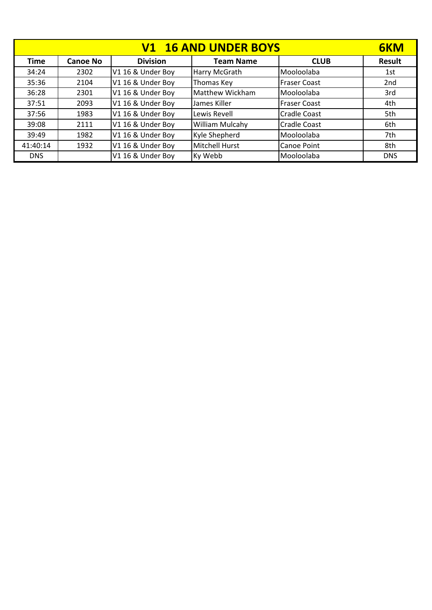| <b>V1 16 AND UNDER BOYS</b> |                 |                   |                        |                     |                 |
|-----------------------------|-----------------|-------------------|------------------------|---------------------|-----------------|
| <b>Time</b>                 | <b>Canoe No</b> | <b>Division</b>   | <b>Team Name</b>       | <b>CLUB</b>         | <b>Result</b>   |
| 34:24                       | 2302            | V1 16 & Under Boy | Harry McGrath          | Mooloolaba          | 1st             |
| 35:36                       | 2104            | V1 16 & Under Boy | Thomas Key             | <b>Fraser Coast</b> | 2 <sub>nd</sub> |
| 36:28                       | 2301            | V1 16 & Under Boy | Matthew Wickham        | Mooloolaba          | 3rd             |
| 37:51                       | 2093            | V1 16 & Under Boy | LJames Killer          | <b>Fraser Coast</b> | 4th             |
| 37:56                       | 1983            | V1 16 & Under Boy | Lewis Revell           | <b>Cradle Coast</b> | 5th             |
| 39:08                       | 2111            | V1 16 & Under Boy | <b>William Mulcahy</b> | <b>Cradle Coast</b> | 6th             |
| 39:49                       | 1982            | V1 16 & Under Boy | Kyle Shepherd          | Mooloolaba          | 7th             |
| 41:40:14                    | 1932            | V1 16 & Under Boy | Mitchell Hurst         | <b>Canoe Point</b>  | 8th             |
| <b>DNS</b>                  |                 | V1 16 & Under Boy | Ky Webb                | Mooloolaba          | <b>DNS</b>      |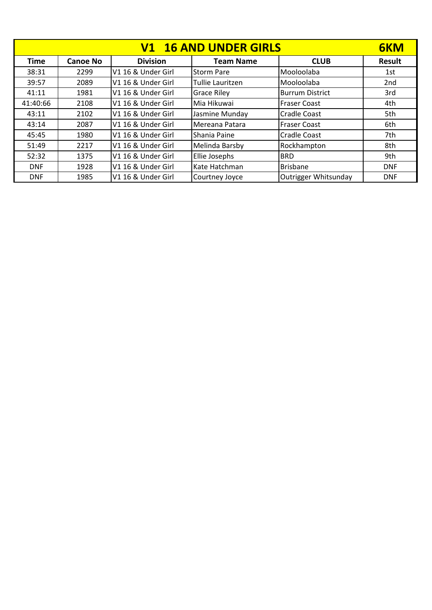| <b>V1 16 AND UNDER GIRLS</b> |          |                    |                    |                        |                 |
|------------------------------|----------|--------------------|--------------------|------------------------|-----------------|
| <b>Time</b>                  | Canoe No | <b>Division</b>    | <b>Team Name</b>   | <b>CLUB</b>            | Result          |
| 38:31                        | 2299     | V1 16 & Under Girl | <b>Storm Pare</b>  | Mooloolaba             | 1st             |
| 39:57                        | 2089     | V1 16 & Under Girl | Tullie Lauritzen   | Mooloolaba             | 2 <sub>nd</sub> |
| 41:11                        | 1981     | V1 16 & Under Girl | <b>Grace Riley</b> | <b>Burrum District</b> | 3rd             |
| 41:40:66                     | 2108     | V1 16 & Under Girl | Mia Hikuwai        | <b>Fraser Coast</b>    | 4th             |
| 43:11                        | 2102     | V1 16 & Under Girl | Jasmine Munday     | <b>Cradle Coast</b>    | 5th             |
| 43:14                        | 2087     | V1 16 & Under Girl | Mereana Patara     | <b>Fraser Coast</b>    | 6th             |
| 45:45                        | 1980     | V1 16 & Under Girl | Shania Paine       | <b>Cradle Coast</b>    | 7th             |
| 51:49                        | 2217     | V1 16 & Under Girl | Melinda Barsby     | Rockhampton            | 8th             |
| 52:32                        | 1375     | V1 16 & Under Girl | Ellie Josephs      | <b>BRD</b>             | 9th             |
| <b>DNF</b>                   | 1928     | V1 16 & Under Girl | Kate Hatchman      | <b>Brisbane</b>        | <b>DNF</b>      |
| <b>DNF</b>                   | 1985     | V1 16 & Under Girl | Courtney Joyce     | Outrigger Whitsunday   | <b>DNF</b>      |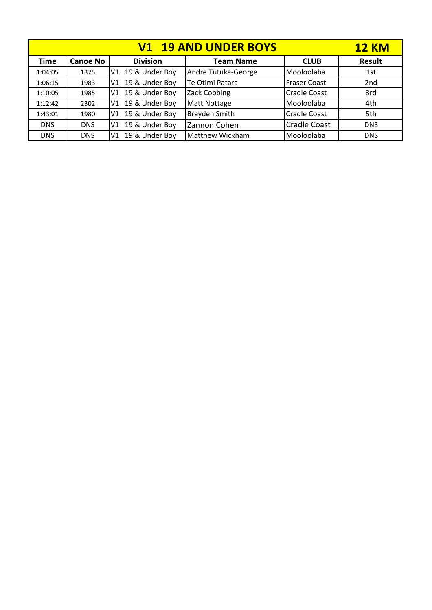|             | <b>12 KM</b>    |                   |                     |                     |                 |
|-------------|-----------------|-------------------|---------------------|---------------------|-----------------|
| <b>Time</b> | <b>Canoe No</b> | <b>Division</b>   | <b>Team Name</b>    | <b>CLUB</b>         | <b>Result</b>   |
| 1:04:05     | 1375            | V1 19 & Under Boy | Andre Tutuka-George | Mooloolaba          | 1st             |
| 1:06:15     | 1983            | V1 19 & Under Boy | Te Otimi Patara     | <b>Fraser Coast</b> | 2 <sub>nd</sub> |
| 1:10:05     | 1985            | V1 19 & Under Boy | Zack Cobbing        | Cradle Coast        | 3rd             |
| 1:12:42     | 2302            | V1 19 & Under Boy | <b>Matt Nottage</b> | Mooloolaba          | 4th             |
| 1:43:01     | 1980            | V1 19 & Under Boy | Brayden Smith       | <b>Cradle Coast</b> | 5th             |
| <b>DNS</b>  | <b>DNS</b>      | V1 19 & Under Boy | Zannon Cohen        | <b>Cradle Coast</b> | <b>DNS</b>      |
| <b>DNS</b>  | <b>DNS</b>      | V1 19 & Under Boy | Matthew Wickham     | Mooloolaba          | <b>DNS</b>      |